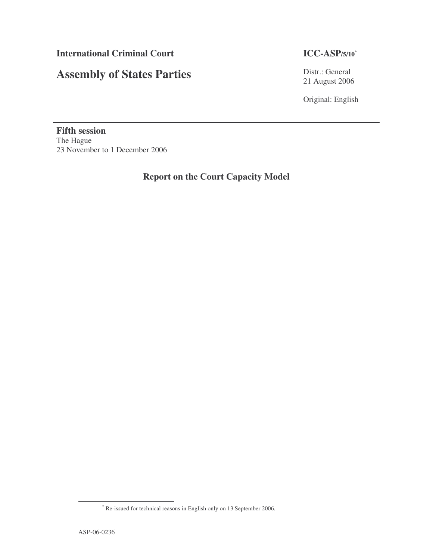# **Assembly of States Parties**

# **ICC-ASP**/5/10\*

Distr.: General 21 August 2006

Original: English

**Fifth session** The Hague 23 November to 1 December 2006

**Report on the Court Capacity Model**

<sup>\*</sup> Re-issued for technical reasons in English only on 13 September 2006.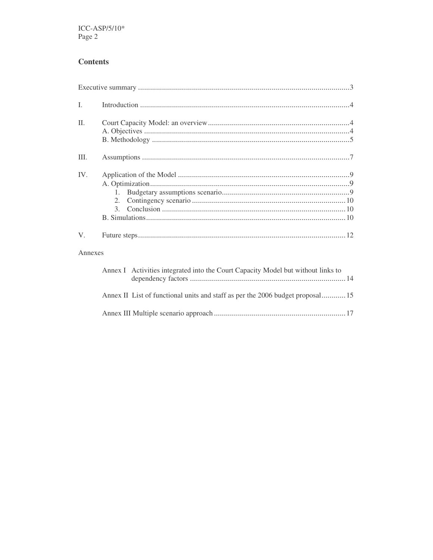# **Contents**

| L       |                                                                                  |
|---------|----------------------------------------------------------------------------------|
| Π.      |                                                                                  |
| III.    |                                                                                  |
| IV.     | $1_{-}$<br>2.<br>3.                                                              |
| V.      |                                                                                  |
| Annexes |                                                                                  |
|         | Annex I Activities integrated into the Court Capacity Model but without links to |
|         | Annex II List of functional units and staff as per the 2006 budget proposal15    |
|         |                                                                                  |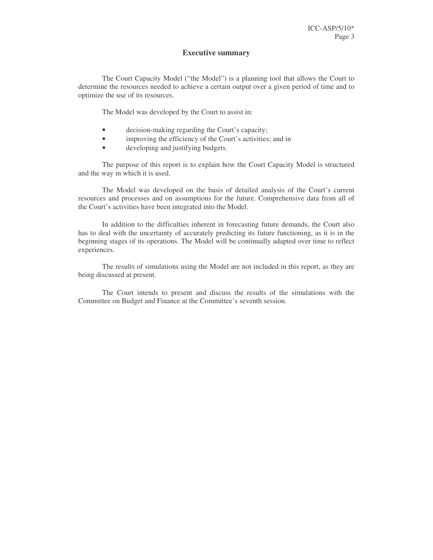#### **Executive summary**

The Court Capacity Model ("the Model") is a planning tool that allows the Court to determine the resources needed to achieve a certain output over a given period of time and to optimize the use of its resources.

The Model was developed by the Court to assist in:

- decision-making regarding the Court's capacity;
- improving the efficiency of the Court's activities; and in
- developing and justifying budgets.

The purpose of this report is to explain how the Court Capacity Model is structured and the way in which it is used.

The Model was developed on the basis of detailed analysis of the Court's current resources and processes and on assumptions for the future. Comprehensive data from all of the Court's activities have been integrated into the Model.

In addition to the difficulties inherent in forecasting future demands, the Court also has to deal with the uncertainty of accurately predicting its future functioning, as it is in the beginning stages of its operations. The Model will be continually adapted over time to reflect experiences.

The results of simulations using the Model are not included in this report, as they are being discussed at present.

The Court intends to present and discuss the results of the simulations with the Committee on Budget and Finance at the Committee's seventh session.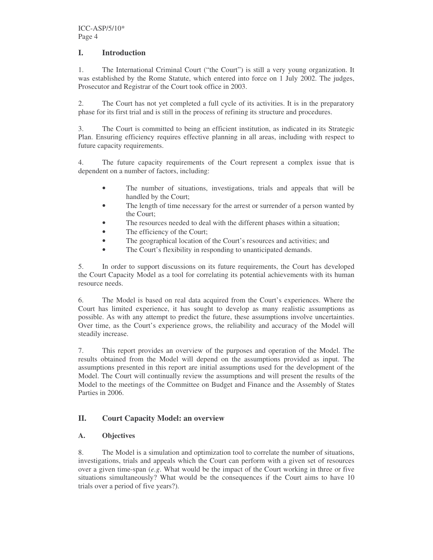### **I. Introduction**

1. The International Criminal Court ("the Court") is still a very young organization. It was established by the Rome Statute, which entered into force on 1 July 2002. The judges, Prosecutor and Registrar of the Court took office in 2003.

2. The Court has not yet completed a full cycle of its activities. It is in the preparatory phase for its first trial and is still in the process of refining its structure and procedures.

3. The Court is committed to being an efficient institution, as indicated in its Strategic Plan. Ensuring efficiency requires effective planning in all areas, including with respect to future capacity requirements.

4. The future capacity requirements of the Court represent a complex issue that is dependent on a number of factors, including:

- The number of situations, investigations, trials and appeals that will be handled by the Court;
- The length of time necessary for the arrest or surrender of a person wanted by the Court;
- The resources needed to deal with the different phases within a situation;
- The efficiency of the Court;
- The geographical location of the Court's resources and activities; and
- The Court's flexibility in responding to unanticipated demands.

5. In order to support discussions on its future requirements, the Court has developed the Court Capacity Model as a tool for correlating its potential achievements with its human resource needs.

6. The Model is based on real data acquired from the Court's experiences. Where the Court has limited experience, it has sought to develop as many realistic assumptions as possible. As with any attempt to predict the future, these assumptions involve uncertainties. Over time, as the Court's experience grows, the reliability and accuracy of the Model will steadily increase.

7. This report provides an overview of the purposes and operation of the Model. The results obtained from the Model will depend on the assumptions provided as input. The assumptions presented in this report are initial assumptions used for the development of the Model. The Court will continually review the assumptions and will present the results of the Model to the meetings of the Committee on Budget and Finance and the Assembly of States Parties in 2006.

### **II. Court Capacity Model: an overview**

### **A. Objectives**

8. The Model is a simulation and optimization tool to correlate the number of situations, investigations, trials and appeals which the Court can perform with a given set of resources over a given time-span (*e.g*. What would be the impact of the Court working in three or five situations simultaneously? What would be the consequences if the Court aims to have 10 trials over a period of five years?).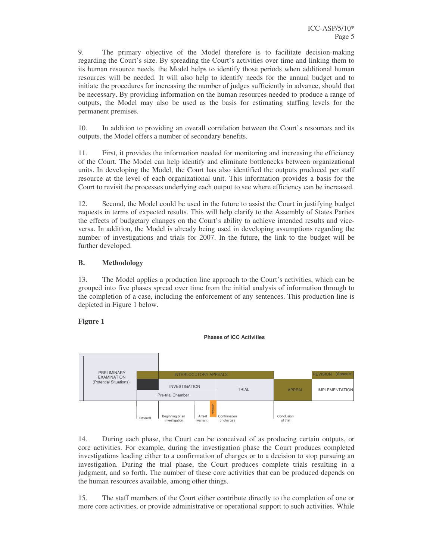9. The primary objective of the Model therefore is to facilitate decision-making regarding the Court's size. By spreading the Court's activities over time and linking them to its human resource needs, the Model helps to identify those periods when additional human resources will be needed. It will also help to identify needs for the annual budget and to initiate the procedures for increasing the number of judges sufficiently in advance, should that be necessary. By providing information on the human resources needed to produce a range of outputs, the Model may also be used as the basis for estimating staffing levels for the permanent premises.

10. In addition to providing an overall correlation between the Court's resources and its outputs, the Model offers a number of secondary benefits.

11. First, it provides the information needed for monitoring and increasing the efficiency of the Court. The Model can help identify and eliminate bottlenecks between organizational units. In developing the Model, the Court has also identified the outputs produced per staff resource at the level of each organizational unit. This information provides a basis for the Court to revisit the processes underlying each output to see where efficiency can be increased.

12. Second, the Model could be used in the future to assist the Court in justifying budget requests in terms of expected results. This will help clarify to the Assembly of States Parties the effects of budgetary changes on the Court's ability to achieve intended results and viceversa. In addition, the Model is already being used in developing assumptions regarding the number of investigations and trials for 2007. In the future, the link to the budget will be further developed.

#### **B. Methodology**

13. The Model applies a production line approach to the Court's activities, which can be grouped into five phases spread over time from the initial analysis of information through to the completion of a case, including the enforcement of any sentences. This production line is depicted in Figure 1 below.

**Phases of ICC Activities**

### **Figure 1**



14. During each phase, the Court can be conceived of as producing certain outputs, or core activities. For example, during the investigation phase the Court produces completed investigations leading either to a confirmation of charges or to a decision to stop pursuing an investigation. During the trial phase, the Court produces complete trials resulting in a judgment, and so forth. The number of these core activities that can be produced depends on the human resources available, among other things.

15. The staff members of the Court either contribute directly to the completion of one or more core activities, or provide administrative or operational support to such activities. While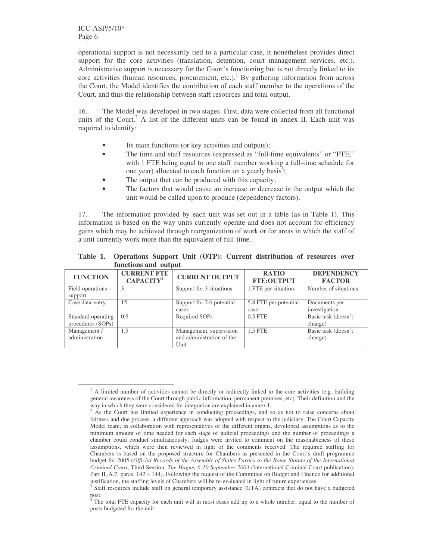ICC-ASP/5/10\* Page 6

operational support is not necessarily tied to a particular case, it nonetheless provides direct support for the core activities (translation, detention, court management services, etc.). Administrative support is necessary for the Court's functioning but is not directly linked to its core activities (human resources, procurement, etc.). <sup>1</sup> By gathering information from across the Court, the Model identifies the contribution of each staff member to the operations of the Court, and thus the relationship between staff resources and total output.

16. The Model was developed in two stages. First, data were collected from all functional units of the Court.<sup>2</sup> A list of the different units can be found in annex II. Each unit was required to identify:

- Its main functions (or key activities and outputs);
- The time and staff resources (expressed as "full-time equivalents" or "FTE," with 1 FTE being equal to one staff member working a full-time schedule for one year) allocated to each function on a yearly basis<sup>3</sup>;
- The output that can be produced with this capacity;
- The factors that would cause an increase or decrease in the output which the unit would be called upon to produce (dependency factors).

17. The information provided by each unit was set out in a table (as in Table 1). This information is based on the way units currently operate and does not account for efficiency gains which may be achieved through reorganization of work or for areas in which the staff of a unit currently work more than the equivalent of full-time.

|                                         | ranceions and capac                         |                                                              |                                   |                                    |
|-----------------------------------------|---------------------------------------------|--------------------------------------------------------------|-----------------------------------|------------------------------------|
| <b>FUNCTION</b>                         | <b>CURRENT FTE</b><br>CAPACITY <sup>4</sup> | <b>CURRENT OUTPUT</b>                                        | <b>RATIO</b><br><b>FTE:OUTPUT</b> | <b>DEPENDENCY</b><br><b>FACTOR</b> |
| Field operations<br>support             | 3                                           | Support for 3 situations                                     | 1 FTE per situation               | Number of situations               |
| Case data-entry                         | 15                                          | Support for 2.6 potential<br>cases                           | 5.8 FTE per potential<br>case     | Documents per<br>investigation     |
| Standard operating<br>procedures (SOPs) | 0.5                                         | Required SOPs                                                | $0.5$ FTE                         | Basic task (doesn't<br>change)     |
| Management /<br>administration          | 1.5                                         | Management, supervision<br>and administration of the<br>Unit | 1.5 FTE                           | Basic task (doesn't<br>change)     |

**Table 1. Operations Support Unit (OTP): Current distribution of resources over functions and output**

<sup>&</sup>lt;sup>1</sup> A limited number of activities cannot be directly or indirectly linked to the core activities (e.g. building general awareness of the Court through public information, permanent premises, etc). Their definition and the way in which they were considered for integration are explained in annex I.

 $2^2$  As the Court has limited experience in conducting proceedings, and so as not to raise concerns about fairness and due process, a different approach was adopted with respect to the judiciary. The Court Capacity Model team, in collaboration with representatives of the different organs, developed assumptions as to the minimum amount of time needed for each stage of judicial proceedings and the number of proceedings a chamber could conduct simultaneously. Judges were invited to comment on the reasonableness of these assumptions, which were then reviewed in light of the comments received. The required staffing for Chambers is based on the proposed structure for Chambers as presented in the Court's draft programme budget for 2005 (*Official Records of the Assembly of States Parties to the Rome Statute of the International Criminal Court*, Third Session, *The Hague, 6-10 September 2004* (International Criminal Court publication), Part II,.A.7, paras. 142 – 144*)*. Following the request of the Committee on Budget and Finance for additional justification, the staffing levels of Chambers will be re-evaluated in light of future experiences.

<sup>3</sup> Staff resources include staff on general temporary assistance (GTA) contracts that do not have a budgeted post.

The total FTE capacity for each unit will in most cases add up to a whole number, equal to the number of posts budgeted for the unit.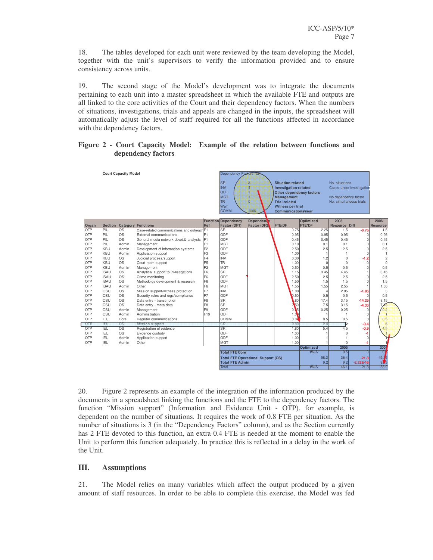18. The tables developed for each unit were reviewed by the team developing the Model, together with the unit's supervisors to verify the information provided and to ensure consistency across units.

19. The second stage of the Model's development was to integrate the documents pertaining to each unit into a master spreadsheet in which the available FTE and outputs are all linked to the core activities of the Court and their dependency factors. When the numbers of situations, investigations, trials and appeals are changed in the inputs, the spreadsheet will automatically adjust the level of staff required for all the functions affected in accordance with the dependency factors.

#### **Figure 2 - Court Capacity Model: Example of the relation between functions and dependency factors**

|       |                | <b>Court Capacity Model</b> |                                             |                                  | Dependency Factors (DF     |                                           |                          |               |                           |             |                |
|-------|----------------|-----------------------------|---------------------------------------------|----------------------------------|----------------------------|-------------------------------------------|--------------------------|---------------|---------------------------|-------------|----------------|
|       |                |                             |                                             |                                  | lsr                        | 3                                         | <b>Situation-related</b> |               | No. situations            |             |                |
|       |                |                             |                                             |                                  | <b>INV</b>                 | $\overline{\mathbf{a}}$                   | Investigation-related    |               | Cases under investigation |             |                |
|       |                |                             |                                             |                                  | ODF                        |                                           | Other dependency factors |               |                           |             |                |
|       |                |                             |                                             |                                  | <b>MGT</b>                 |                                           | <b>Management</b>        |               | No dependency factor      |             |                |
|       |                |                             |                                             |                                  | <b>TR</b>                  | $\overline{0}$                            | <b>Trial-related</b>     |               | No. simultaneous trials   |             |                |
|       |                |                             |                                             |                                  | WpT                        |                                           | Witness per trial        |               |                           |             |                |
|       |                |                             |                                             |                                  | <b>COMM</b>                | 1000                                      | Communications/year      |               |                           |             |                |
|       |                |                             |                                             |                                  |                            |                                           |                          |               |                           |             |                |
|       |                |                             |                                             |                                  | <b>Function Dependency</b> | <b>Dependent</b> y                        |                          | Optimized     | 2005                      |             | 2006           |
| Organ | <b>Section</b> |                             | <b>Category Functions</b>                   | Ref                              | Factor (DF1)               | Factor (DF2)                              | <b>FTE/DF</b>            | <b>FTE*DF</b> | Resource Diff             |             | Resource       |
| OTP   | PIU            | <b>OS</b>                   | Case-related communications and outreach F1 |                                  | <b>SR</b>                  |                                           | 0.75                     | 2.25          | 1.5                       | $-0.75$     | 1.5            |
| OTP   | PIU            | <b>OS</b>                   | External communications                     | F <sub>1</sub>                   | ODE                        |                                           | 0.95                     | 0.95          | 0.95                      | $\Omega$    | 0.95           |
| OTP   | PIU            | <b>OS</b>                   | General media network devpt.& analysis      | F <sub>1</sub>                   | ODF                        |                                           | 0.45                     | 0.45          | 0.45                      | $\Omega$    | 0.45           |
| OTP   | PIU            | Admin                       | Management                                  | F <sub>1</sub>                   | <b>MGT</b>                 |                                           | 0.10                     | 0.1           | 0.1                       | $\Omega$    | 0.1            |
| OTP   | KBU            | Admin                       | Development of information systems          | F <sub>2</sub>                   | ODF                        |                                           | 2.50                     | 2.5           | 2.5                       | $\Omega$    | 2.5            |
| OTP   | <b>KBU</b>     | Admin                       | Application support                         | F <sub>3</sub><br>F <sub>4</sub> | ODF                        |                                           | 1.00                     |               |                           | C           |                |
| OTP   | KBU            | <b>OS</b><br><b>OS</b>      | Judicial process/support                    |                                  | <b>INV</b><br>TR.          |                                           | 0.30                     | 1.2           | $\mathbf 0$               | $-1.2$      | $\overline{c}$ |
| OTP   | KBU            |                             | Court room support                          | F <sub>5</sub>                   |                            |                                           | 1.00                     | $\Omega$      | $\mathbf 0$               | $\Omega$    | $\Omega$       |
| OTP   | <b>KBU</b>     | Admin                       | Management                                  | F <sub>2</sub>                   | <b>MGT</b><br><b>SR</b>    |                                           | 0.50                     | 0.5           | 0.5                       | $\Omega$    | 0.5            |
| OTP   | <b>ISAU</b>    | <b>OS</b>                   | Analytical support to investigations        | F <sub>6</sub>                   |                            |                                           | 1.15                     | 3.45          | 4.45                      |             | 3.45           |
| OTP   | <b>ISAU</b>    | <b>OS</b>                   | Crime monitoring                            | F <sub>6</sub>                   | ODF                        |                                           | 2.50                     | 2.5           | 2.5                       | $\Omega$    | 2.5            |
| OTP   | <b>ISAU</b>    | <b>OS</b>                   | Methodolgy development & research           | F <sub>6</sub>                   | ODF                        |                                           | 1.50                     | 1.5           | 1.5                       | $\Omega$    | 1.5            |
| OTP   | <b>ISAU</b>    | Admin                       | Other                                       | F <sub>6</sub>                   | <b>MGT</b>                 |                                           | 1.55                     | 1.55          | 2.55                      |             | 1.55           |
| OTP   | OSU            | <b>OS</b>                   | Mission support/witness protection          | F7                               | <b>INV</b>                 |                                           | 1.00                     | ۷             | 2.95                      | $-1.05$     | 3              |
| OTP   | OSU            | <b>OS</b>                   | Security rules and regs/compliance          | F7                               | ODF                        |                                           | 0.50                     | 0.5           | 0.5                       |             | 0.5            |
| OTP   | OSU            | <b>OS</b>                   | Data entry - transcription                  | F <sub>8</sub>                   | <b>SR</b>                  |                                           | ,80                      | 17.4          | 3.15                      | $-14.25$    | 8.15           |
| OTP   | OSU            | <b>OS</b>                   | Data entry - meta data                      | F <sub>8</sub>                   | <b>SR</b>                  |                                           | 250                      | 7.5           | 3.15                      | $-4.35$     | $7\sqrt{5}$    |
| OTP   | OSU            | Admin                       | Management                                  | F <sub>9</sub>                   | ODF                        |                                           | 0.15                     | 0.25          | 0.25                      | n           | 0.2            |
| OTP   | OSU            | Admin                       | Administration                              | F <sub>10</sub>                  | ODE                        |                                           | 1.0                      |               | $\overline{1}$            | $\Omega$    | н              |
| OTP   | IEU            | Core                        | Register communications                     |                                  | COMM                       |                                           | 0.06                     | 0.5           | 0.5                       | $\Omega$    | 0.5            |
| OTP   | <b>JEU</b>     | <b>OS</b>                   | Mission support                             |                                  | SR                         |                                           | 0.80                     | 2.4           | 12                        | $-0.4$      | 5              |
| OTP   | IEU            | OS                          | Registration of evidence                    |                                  | <b>SR</b>                  |                                           | 1.80                     | 5.4           | 4.5                       | $-0.9$      | 4.5            |
| OTP   | IEU            | <b>OS</b>                   | Evidence custody                            |                                  | ODF                        |                                           | 1.00                     |               | $\Omega$                  | -1          |                |
| OTP   | IEU            | Admin                       | Application support                         |                                  | ODF                        |                                           | 1.00                     |               | 1                         | $\Omega$    |                |
| OTP   | IEU            | Admin                       | Other                                       |                                  | <b>MGT</b>                 |                                           | 1.00                     |               | $\Omega$                  | -1          |                |
|       |                |                             |                                             |                                  |                            |                                           |                          | Optimized     | 2005                      |             | 200            |
|       |                |                             |                                             |                                  | <b>Total FTE Core</b>      |                                           |                          | #N/A          | 0.5                       | $\Omega$    | $\overline{0}$ |
|       |                |                             |                                             |                                  |                            | <b>Total FTE Operational Support (OS)</b> |                          | 58.2          | 36.4                      | $-21.8$     | 49.75          |
|       |                |                             |                                             |                                  | <b>Total FTE Admin</b>     |                                           |                          | 9.2           | 9.2                       | $-2.22E-16$ | 9.6            |
|       |                |                             |                                             |                                  | Total                      |                                           |                          | #N/A          | 46.1                      | $-21.8$     | 58.9           |

20. Figure 2 represents an example of the integration of the information produced by the documents in a spreadsheet linking the functions and the FTE to the dependency factors. The function "Mission support" (Information and Evidence Unit - OTP), for example, is dependent on the number of situations. It requires the work of 0.8 FTE per situation. As the number of situations is 3 (in the "Dependency Factors" column), and as the Section currently has 2 FTE devoted to this function, an extra 0.4 FTE is needed at the moment to enable the Unit to perform this function adequately. In practice this is reflected in a delay in the work of the Unit.

### **III. Assumptions**

21. The Model relies on many variables which affect the output produced by a given amount of staff resources. In order to be able to complete this exercise, the Model was fed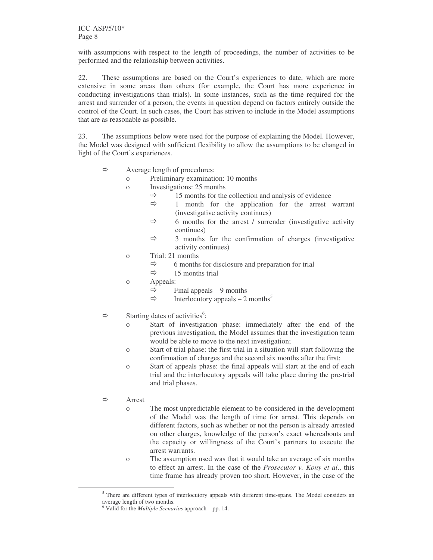with assumptions with respect to the length of proceedings, the number of activities to be performed and the relationship between activities.

22. These assumptions are based on the Court's experiences to date, which are more extensive in some areas than others (for example, the Court has more experience in conducting investigations than trials). In some instances, such as the time required for the arrest and surrender of a person, the events in question depend on factors entirely outside the control of the Court. In such cases, the Court has striven to include in the Model assumptions that are as reasonable as possible.

23. The assumptions below were used for the purpose of explaining the Model. However, the Model was designed with sufficient flexibility to allow the assumptions to be changed in light of the Court's experiences.

- $\Leftrightarrow$  Average length of procedures:
	- o Preliminary examination: 10 months
	- o Investigations: 25 months
		- $\Rightarrow$  15 months for the collection and analysis of evidence
		- $\Rightarrow$  1 month for the application for the arrest warrant (investigative activity continues)
		- $\Rightarrow$  6 months for the arrest / surrender (investigative activity continues)
		- $\Rightarrow$  3 months for the confirmation of charges (investigative activity continues)
	- o Trial: 21 months
		- $\Rightarrow$  6 months for disclosure and preparation for trial
		- $\Rightarrow$  15 months trial
	- o Appeals:
		- $\Rightarrow$  Final appeals 9 months
		- $\Rightarrow$  Interlocutory appeals 2 months<sup>5</sup>
- $\Rightarrow$  Starting dates of activities<sup>6</sup>:
	- o Start of investigation phase: immediately after the end of the previous investigation, the Model assumes that the investigation team would be able to move to the next investigation;
	- o Start of trial phase: the first trial in a situation will start following the confirmation of charges and the second six months after the first;
	- o Start of appeals phase: the final appeals will start at the end of each trial and the interlocutory appeals will take place during the pre-trial and trial phases.
- $Arr$  Arrest
	- o The most unpredictable element to be considered in the development of the Model was the length of time for arrest. This depends on different factors, such as whether or not the person is already arrested on other charges, knowledge of the person's exact whereabouts and the capacity or willingness of the Court's partners to execute the arrest warrants.
	- o The assumption used was that it would take an average of six months to effect an arrest. In the case of the *Prosecutor v. Kony et al*., this time frame has already proven too short. However, in the case of the

<sup>&</sup>lt;sup>5</sup> There are different types of interlocutory appeals with different time-spans. The Model considers an average length of two months.

<sup>6</sup> Valid for the *Multiple Scenarios* approach – pp. 14.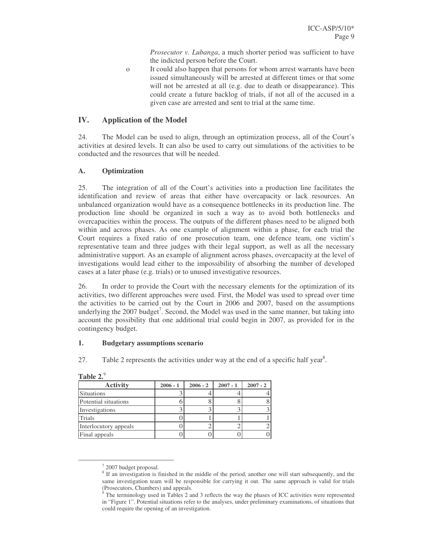*Prosecutor v. Lubanga*, a much shorter period was sufficient to have the indicted person before the Court.

o It could also happen that persons for whom arrest warrants have been issued simultaneously will be arrested at different times or that some will not be arrested at all (e.g. due to death or disappearance). This could create a future backlog of trials, if not all of the accused in a given case are arrested and sent to trial at the same time.

#### **IV. Application of the Model**

24. The Model can be used to align, through an optimization process, all of the Court's activities at desired levels. It can also be used to carry out simulations of the activities to be conducted and the resources that will be needed.

#### **A. Optimization**

25. The integration of all of the Court's activities into a production line facilitates the identification and review of areas that either have overcapacity or lack resources. An unbalanced organization would have as a consequence bottlenecks in its production line. The production line should be organized in such a way as to avoid both bottlenecks and overcapacities within the process. The outputs of the different phases need to be aligned both within and across phases. As one example of alignment within a phase, for each trial the Court requires a fixed ratio of one prosecution team, one defence team, one victim's representative team and three judges with their legal support, as well as all the necessary administrative support. As an example of alignment across phases, overcapacity at the level of investigations would lead either to the impossibility of absorbing the number of developed cases at a later phase (e.g. trials) or to unused investigative resources.

26. In order to provide the Court with the necessary elements for the optimization of its activities, two different approaches were used. First, the Model was used to spread over time the activities to be carried out by the Court in 2006 and 2007, based on the assumptions underlying the 2007 budget<sup>7</sup>. Second, the Model was used in the same manner, but taking into account the possibility that one additional trial could begin in 2007, as provided for in the contingency budget.

#### **1. Budgetary assumptions scenario**

27. Table 2 represents the activities under way at the end of a specific half year<sup>8</sup>.

| ********              |            |            |            |            |
|-----------------------|------------|------------|------------|------------|
| <b>Activity</b>       | $2006 - 1$ | $2006 - 2$ | $2007 - 1$ | $2007 - 2$ |
| Situations            |            |            |            |            |
| Potential situations  |            |            |            |            |
| Investigations        |            |            |            |            |
| <b>Trials</b>         |            |            |            |            |
| Interlocutory appeals |            |            |            |            |
| Final appeals         |            |            |            |            |

|--|

<sup>&</sup>lt;sup>7</sup> 2007 budget proposal.

<sup>&</sup>lt;sup>8</sup> If an investigation is finished in the middle of the period, another one will start subsequently, and the same investigation team will be responsible for carrying it out. The same approach is valid for trials (Prosecutors, Chambers) and appeals.

<sup>&</sup>lt;sup>9</sup> The terminology used in Tables 2 and 3 reflects the way the phases of ICC activities were represented in "Figure 1". Potential situations refer to the analyses, under preliminary examinations, of situations that could require the opening of an investigation.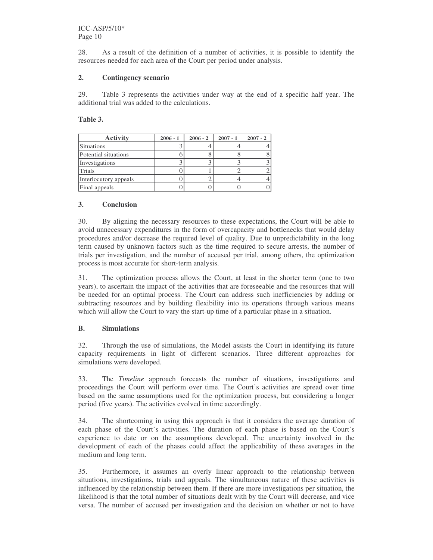28. As a result of the definition of a number of activities, it is possible to identify the resources needed for each area of the Court per period under analysis.

#### **2. Contingency scenario**

29. Table 3 represents the activities under way at the end of a specific half year. The additional trial was added to the calculations.

**Table 3.**

| <b>Activity</b>       | $2006 - 1$ | $2006 - 2$ | $2007 - 1$ | $2007 - 2$ |
|-----------------------|------------|------------|------------|------------|
| Situations            |            |            |            |            |
| Potential situations  |            |            |            |            |
| Investigations        |            |            |            |            |
| Trials                |            |            |            |            |
| Interlocutory appeals |            |            |            |            |
| Final appeals         |            |            |            |            |

### **3. Conclusion**

30. By aligning the necessary resources to these expectations, the Court will be able to avoid unnecessary expenditures in the form of overcapacity and bottlenecks that would delay procedures and/or decrease the required level of quality. Due to unpredictability in the long term caused by unknown factors such as the time required to secure arrests, the number of trials per investigation, and the number of accused per trial, among others, the optimization process is most accurate for short-term analysis.

31. The optimization process allows the Court, at least in the shorter term (one to two years), to ascertain the impact of the activities that are foreseeable and the resources that will be needed for an optimal process. The Court can address such inefficiencies by adding or subtracting resources and by building flexibility into its operations through various means which will allow the Court to vary the start-up time of a particular phase in a situation.

### **B. Simulations**

32. Through the use of simulations, the Model assists the Court in identifying its future capacity requirements in light of different scenarios. Three different approaches for simulations were developed.

33. The *Timeline* approach forecasts the number of situations, investigations and proceedings the Court will perform over time. The Court's activities are spread over time based on the same assumptions used for the optimization process, but considering a longer period (five years). The activities evolved in time accordingly.

34. The shortcoming in using this approach is that it considers the average duration of each phase of the Court's activities. The duration of each phase is based on the Court's experience to date or on the assumptions developed. The uncertainty involved in the development of each of the phases could affect the applicability of these averages in the medium and long term.

35. Furthermore, it assumes an overly linear approach to the relationship between situations, investigations, trials and appeals. The simultaneous nature of these activities is influenced by the relationship between them. If there are more investigations per situation, the likelihood is that the total number of situations dealt with by the Court will decrease, and vice versa. The number of accused per investigation and the decision on whether or not to have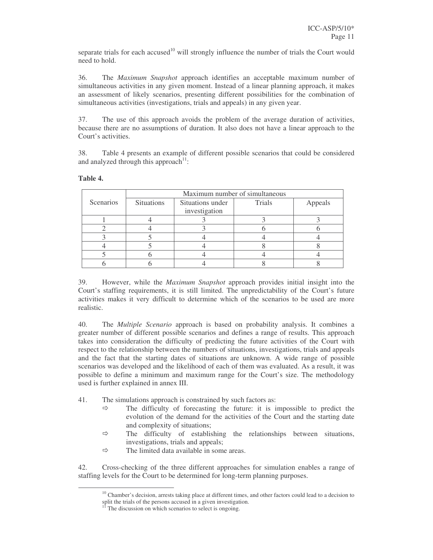separate trials for each accused<sup>10</sup> will strongly influence the number of trials the Court would need to hold.

36. The *Maximum Snapshot* approach identifies an acceptable maximum number of simultaneous activities in any given moment. Instead of a linear planning approach, it makes an assessment of likely scenarios, presenting different possibilities for the combination of simultaneous activities (investigations, trials and appeals) in any given year.

37. The use of this approach avoids the problem of the average duration of activities, because there are no assumptions of duration. It also does not have a linear approach to the Court's activities.

38. Table 4 presents an example of different possible scenarios that could be considered and analyzed through this approach<sup>11</sup>:

|           |                   |                  | Maximum number of simultaneous |         |
|-----------|-------------------|------------------|--------------------------------|---------|
| Scenarios | <b>Situations</b> | Situations under | <b>Trials</b>                  | Appeals |
|           |                   | investigation    |                                |         |
|           |                   |                  |                                |         |
|           |                   |                  |                                |         |
|           |                   |                  |                                |         |
|           |                   |                  |                                |         |
|           |                   |                  |                                |         |
|           |                   |                  |                                |         |

#### **Table 4.**

39. However, while the *Maximum Snapshot* approach provides initial insight into the Court's staffing requirements, it is still limited. The unpredictability of the Court's future activities makes it very difficult to determine which of the scenarios to be used are more realistic.

40. The *Multiple Scenario* approach is based on probability analysis. It combines a greater number of different possible scenarios and defines a range of results. This approach takes into consideration the difficulty of predicting the future activities of the Court with respect to the relationship between the numbers of situations, investigations, trials and appeals and the fact that the starting dates of situations are unknown. A wide range of possible scenarios was developed and the likelihood of each of them was evaluated. As a result, it was possible to define a minimum and maximum range for the Court's size. The methodology used is further explained in annex III.

41. The simulations approach is constrained by such factors as:

- $\Rightarrow$  The difficulty of forecasting the future: it is impossible to predict the evolution of the demand for the activities of the Court and the starting date and complexity of situations;
- $\Rightarrow$  The difficulty of establishing the relationships between situations, investigations, trials and appeals;
- $\Rightarrow$  The limited data available in some areas.

42. Cross-checking of the three different approaches for simulation enables a range of staffing levels for the Court to be determined for long-term planning purposes.

 $10$  Chamber's decision, arrests taking place at different times, and other factors could lead to a decision to split the trials of the persons accused in a given investigation.

 $11$ <sup>I</sup> The discussion on which scenarios to select is ongoing.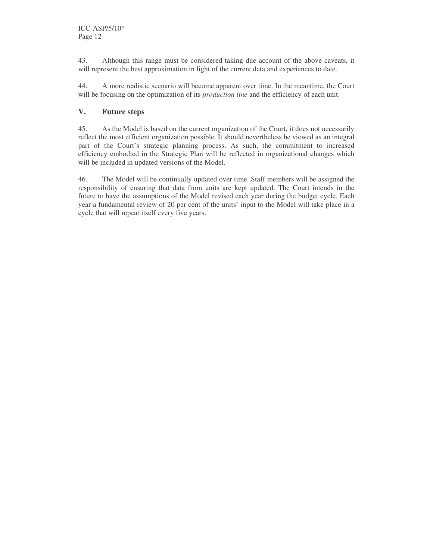43. Although this range must be considered taking due account of the above caveats, it will represent the best approximation in light of the current data and experiences to date.

44. A more realistic scenario will become apparent over time. In the meantime, the Court will be focusing on the optimization of its *production line* and the efficiency of each unit.

### **V. Future steps**

45. As the Model is based on the current organization of the Court, it does not necessarily reflect the most efficient organization possible. It should nevertheless be viewed as an integral part of the Court's strategic planning process. As such, the commitment to increased efficiency embodied in the Strategic Plan will be reflected in organizational changes which will be included in updated versions of the Model.

46. The Model will be continually updated over time. Staff members will be assigned the responsibility of ensuring that data from units are kept updated. The Court intends in the future to have the assumptions of the Model revised each year during the budget cycle. Each year a fundamental review of 20 per cent of the units' input to the Model will take place in a cycle that will repeat itself every five years.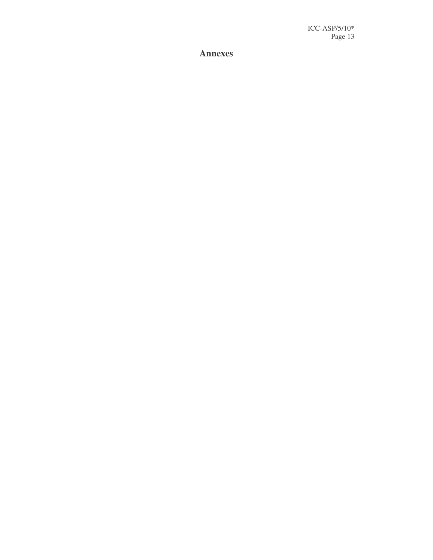**A n n e x e s**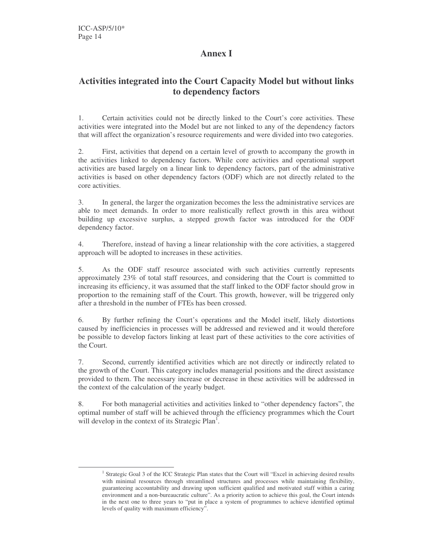# **Annex I**

# **Activities integrated into the Court Capacity Model but without links to dependency factors**

1. Certain activities could not be directly linked to the Court's core activities. These activities were integrated into the Model but are not linked to any of the dependency factors that will affect the organization's resource requirements and were divided into two categories.

2. First, activities that depend on a certain level of growth to accompany the growth in the activities linked to dependency factors. While core activities and operational support activities are based largely on a linear link to dependency factors, part of the administrative activities is based on other dependency factors (ODF) which are not directly related to the core activities.

3. In general, the larger the organization becomes the less the administrative services are able to meet demands. In order to more realistically reflect growth in this area without building up excessive surplus, a stepped growth factor was introduced for the ODF dependency factor.

4. Therefore, instead of having a linear relationship with the core activities, a staggered approach will be adopted to increases in these activities.

5. As the ODF staff resource associated with such activities currently represents approximately 23% of total staff resources, and considering that the Court is committed to increasing its efficiency, it was assumed that the staff linked to the ODF factor should grow in proportion to the remaining staff of the Court. This growth, however, will be triggered only after a threshold in the number of FTEs has been crossed.

6. By further refining the Court's operations and the Model itself, likely distortions caused by inefficiencies in processes will be addressed and reviewed and it would therefore be possible to develop factors linking at least part of these activities to the core activities of the Court.

7. Second, currently identified activities which are not directly or indirectly related to the growth of the Court. This category includes managerial positions and the direct assistance provided to them. The necessary increase or decrease in these activities will be addressed in the context of the calculation of the yearly budget.

8. For both managerial activities and activities linked to "other dependency factors", the optimal number of staff will be achieved through the efficiency programmes which the Court will develop in the context of its Strategic Plan<sup>1</sup>.

<sup>&</sup>lt;sup>1</sup> Strategic Goal 3 of the ICC Strategic Plan states that the Court will "Excel in achieving desired results with minimal resources through streamlined structures and processes while maintaining flexibility, guaranteeing accountability and drawing upon sufficient qualified and motivated staff within a caring environment and a non-bureaucratic culture". As a priority action to achieve this goal, the Court intends in the next one to three years to "put in place a system of programmes to achieve identified optimal levels of quality with maximum efficiency".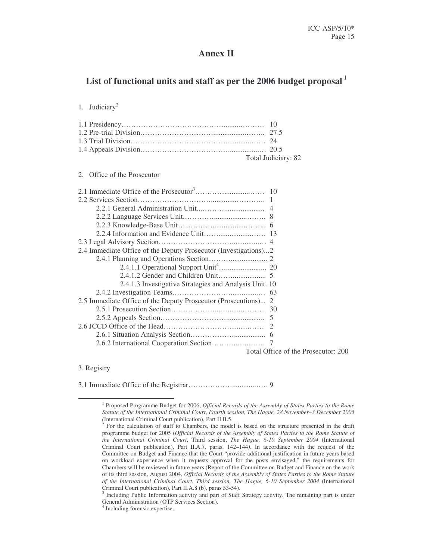# **Annex II**

# **List of functional units and staff as per the 2006 budget proposal 1**

#### 1. Judiciary 2

| Total Judiciary: 82 |
|---------------------|

#### 2. Office of the Prosecutor

| 2.4 Immediate Office of the Deputy Prosecutor (Investigations)2 |                                                                                                                                                                                                                                                                                                                                                                                             |
|-----------------------------------------------------------------|---------------------------------------------------------------------------------------------------------------------------------------------------------------------------------------------------------------------------------------------------------------------------------------------------------------------------------------------------------------------------------------------|
|                                                                 |                                                                                                                                                                                                                                                                                                                                                                                             |
|                                                                 |                                                                                                                                                                                                                                                                                                                                                                                             |
|                                                                 |                                                                                                                                                                                                                                                                                                                                                                                             |
| 2.4.1.3 Investigative Strategies and Analysis Unit10            |                                                                                                                                                                                                                                                                                                                                                                                             |
|                                                                 |                                                                                                                                                                                                                                                                                                                                                                                             |
| 2.5 Immediate Office of the Deputy Prosecutor (Prosecutions) 2  |                                                                                                                                                                                                                                                                                                                                                                                             |
|                                                                 |                                                                                                                                                                                                                                                                                                                                                                                             |
|                                                                 |                                                                                                                                                                                                                                                                                                                                                                                             |
|                                                                 |                                                                                                                                                                                                                                                                                                                                                                                             |
|                                                                 |                                                                                                                                                                                                                                                                                                                                                                                             |
|                                                                 |                                                                                                                                                                                                                                                                                                                                                                                             |
|                                                                 | $T_{\rm tot}$ = $1 \bigcap C_{\rm tot}$ = $1 \bigcap C_{\rm tot}$ = $1 \bigcap C_{\rm tot}$ = $1 \bigcap C_{\rm tot}$ = $1 \bigcap C_{\rm tot}$ = $1 \bigcap C_{\rm tot}$ = $1 \bigcap C_{\rm tot}$ = $1 \bigcap C_{\rm tot}$ = $1 \bigcap C_{\rm tot}$ = $1 \bigcap C_{\rm tot}$ = $1 \bigcap C_{\rm tot}$ = $1 \bigcap C_{\rm tot}$ = $1 \bigcap C_{\rm tot}$ = $1 \bigcap C_{\rm tot}$ = |

Total Office of the Prosecutor: 200

#### 3. Registry

3.1 Immediate Office of the Registrar……………….............….. 9

<sup>1</sup> Proposed Programme Budget for 2006, *Official Records of the Assembly of States Parties to the Rome Statute of the International Criminal Court*, *Fourth session, The Hague, 28 November–3 December 2005 (*International Criminal Court publication), Part II.B.5.

 $2^2$  For the calculation of staff to Chambers, the model is based on the structure presented in the draft programme budget for 2005 (*Official Records of the Assembly of States Parties to the Rome Statute of the International Criminal Court*, Third session, *The Hague, 6-10 September 2004* (International Criminal Court publication), Part II.A.7, paras. 142–144*)*. In accordance with the request of the Committee on Budget and Finance that the Court "provide additional justification in future years based on workload experience when it requests approval for the posts envisaged," the requirements for Chambers will be reviewed in future years (Report of the Committee on Budget and Finance on the work of its third session, August 2004, *Official Records of the Assembly of States Parties to the Rome Statute of the International Criminal Court*, *Third session, The Hague, 6-10 September 2004* (International Criminal Court publication), Part II.A.8 (b), paras 53-54).

<sup>&</sup>lt;sup>3</sup> Including Public Information activity and part of Staff Strategy activity. The remaining part is under General Administration (OTP Services Section).

<sup>4</sup> Including forensic expertise.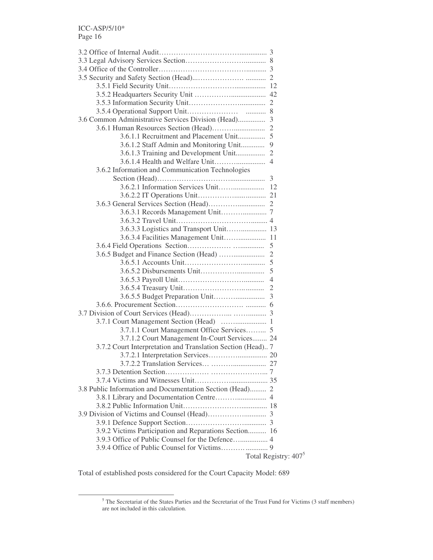| 3.6 Common Administrative Services Division (Head)          | 3                                |
|-------------------------------------------------------------|----------------------------------|
|                                                             | $\mathfrak{2}$                   |
| 3.6.1.1 Recruitment and Placement Unit                      | 5                                |
| 3.6.1.2 Staff Admin and Monitoring Unit                     | 9                                |
| 3.6.1.3 Training and Development Unit                       | $\overline{c}$                   |
|                                                             | 4                                |
| 3.6.2 Information and Communication Technologies            |                                  |
|                                                             |                                  |
|                                                             |                                  |
|                                                             |                                  |
|                                                             |                                  |
|                                                             |                                  |
|                                                             |                                  |
| 3.6.3.3 Logistics and Transport Unit 13                     |                                  |
| 3.6.3.4 Facilities Management Unit 11                       |                                  |
|                                                             | 5                                |
|                                                             |                                  |
|                                                             | 5                                |
|                                                             | 5                                |
|                                                             | 4                                |
|                                                             | $\overline{2}$                   |
|                                                             | 3                                |
|                                                             |                                  |
|                                                             |                                  |
|                                                             |                                  |
| 3.7.1.1 Court Management Office Services 5                  |                                  |
| 3.7.1.2 Court Management In-Court Services 24               |                                  |
| 3.7.2 Court Interpretation and Translation Section (Head) 7 |                                  |
|                                                             |                                  |
|                                                             |                                  |
|                                                             |                                  |
|                                                             |                                  |
| 3.8 Public Information and Documentation Section (Head) 2   |                                  |
|                                                             |                                  |
|                                                             |                                  |
|                                                             |                                  |
|                                                             |                                  |
| 3.9.2 Victims Participation and Reparations Section 16      |                                  |
|                                                             |                                  |
|                                                             |                                  |
|                                                             | Total Registry: 407 <sup>5</sup> |
|                                                             |                                  |

Total of established posts considered for the Court Capacity Model: 689

 $5$  The Secretariat of the States Parties and the Secretariat of the Trust Fund for Victims (3 staff members) are not included in this calculation.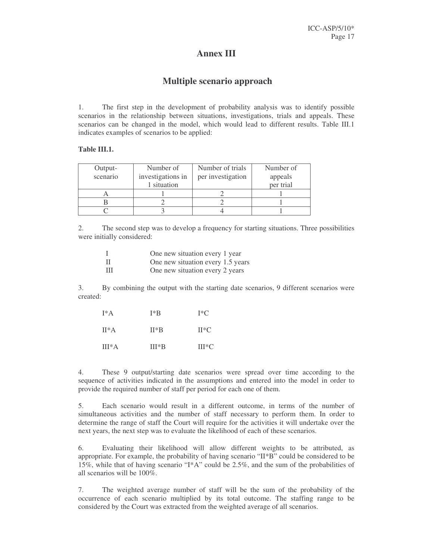## **Annex III**

# **Multiple scenario approach**

1. The first step in the development of probability analysis was to identify possible scenarios in the relationship between situations, investigations, trials and appeals. These scenarios can be changed in the model, which would lead to different results. Table III.1 indicates examples of scenarios to be applied:

#### **Table III.1.**

| Output-  | Number of         | Number of trials  | Number of |
|----------|-------------------|-------------------|-----------|
| scenario | investigations in | per investigation | appeals   |
|          | 1 situation       |                   | per trial |
|          |                   |                   |           |
|          |                   |                   |           |
|          |                   |                   |           |

2. The second step was to develop a frequency for starting situations. Three possibilities were initially considered:

|   | One new situation every 1 year    |
|---|-----------------------------------|
| H | One new situation every 1.5 years |
| Ш | One new situation every 2 years   |

3. By combining the output with the starting date scenarios, 9 different scenarios were created:

| $I^*A$   | I*B     | $I^*C$  |  |
|----------|---------|---------|--|
| $II^*A$  | $II*B$  | $H^*C$  |  |
| $III^*A$ | $III*R$ | $III*C$ |  |

4. These 9 output/starting date scenarios were spread over time according to the sequence of activities indicated in the assumptions and entered into the model in order to provide the required number of staff per period for each one of them.

simultaneous activities and the number of staff necessary to perform them. In order to determine the range of staff the Court will require for the activities it will undertake over the next years, the next step was to evaluate the likelihood of each of these scenarios.

6. Evaluating their likelihood will allow different weights to be attributed, as appropriate. For example, the probability of having scenario "II\*B" could be considered to be 15%, while that of having scenario "I\*A" could be 2.5%, and the sum of the probabilities of all scenarios will be 100%.

7. The weighted average number of staff will be the sum of the probability of the occurrence of each scenario multiplied by its total outcome. The staffing range to be considered by the Court was extracted from the weighted average of all scenarios.

5. Each scenario would result in a different outcome, in terms of the number of